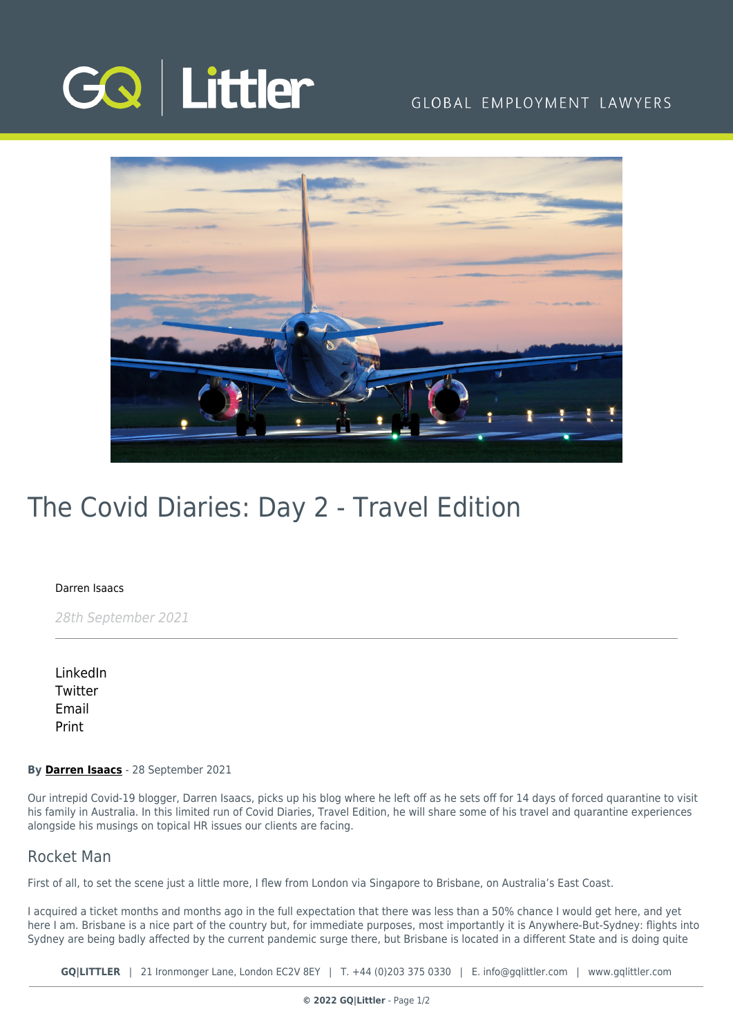

## GLOBAL EMPLOYMENT LAWYERS



# The Covid Diaries: Day 2 - Travel Edition

#### [Darren Isaacs](https://www.gqlittler.com/about-us/the-team/darren-isaacs)

28th September 2021

[LinkedIn](https://www.linkedin.com/shareArticle?mini=true&url=https%3A%2F%2Fwww.gqlittler.com%2Fresources%2Fnews-and-views%2Fthe-covid-diaries-day-2-travel-edition.htm%3Funlock%3Dtrue&title=The+Covid+Diaries%3A+Day+2+-+Travel+Edition&summary=In+this+limited+run+of+Covid+Diaries%2C+Travel+Edition%2C+he+will+share+some+of+his+travel+and+quarantine+experiences+alongside+his+musings+on+topical+HR+issues+our+clients+are+facing.&source=GQ+%7C+Littler) **[Twitter](https://twitter.com/share?text=The+Covid+Diaries%3A+Day+2+-+Travel+Edition&url=https%3A%2F%2Fwww.gqlittler.com%2Fresources%2Fnews-and-views%2Fthe-covid-diaries-day-2-travel-edition.htm&hashtags=)** [Email](mailto:?subject=The Covid Diaries: Day 2 - Travel Edition&body=I) [Print](https://www.bg-pdf.co.uk/_GQ/page.php?M=6148523063484d364c793933643363755a33467361585230624756794c6d4e76625339795a584e7664584a6a5a584d76626d563363793168626d5174646d6c6c64334d766447686c4c574e76646d6c6b4c57527059584a705a584d745a4746354c54497464484a68646d56734c57566b6158527062323475614852744930416a5647686c49454e76646d6c6b4945527059584a705a584d3649455268655341794943306756484a68646d56734945566b615852706232346a51434e306147557459323932615751745a476c68636d6c6c6379316b59586b744d693130636d46325a5777745a57527064476c7662673d3d)

#### **By [Darren Isaacs](https://www.gqlittler.com/about-us/the-team/darren-isaacs)** - 28 September 2021

Our intrepid Covid-19 blogger, Darren Isaacs, picks up his blog where he left off as he sets off for 14 days of forced quarantine to visit his family in Australia. In this limited run of Covid Diaries, Travel Edition, he will share some of his travel and quarantine experiences alongside his musings on topical HR issues our clients are facing.

### Rocket Man

First of all, to set the scene just a little more, I flew from London via Singapore to Brisbane, on Australia's East Coast.

I acquired a ticket months and months ago in the full expectation that there was less than a 50% chance I would get here, and yet here I am. Brisbane is a nice part of the country but, for immediate purposes, most importantly it is Anywhere-But-Sydney: flights into Sydney are being badly affected by the current pandemic surge there, but Brisbane is located in a different State and is doing quite

**GQ|LITTLER** | 21 Ironmonger Lane, London EC2V 8EY | T. [+44 \(0\)203 375 0330](https://www.bg-pdf.co.uk/_GQ/tel:+442033750330) | E. [info@gqlittler.com](mailto:info@gqlittler.com) | [www.gqlittler.com](https://www.gqlittler.com)